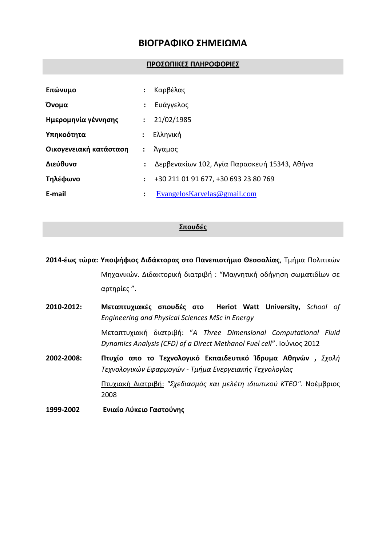# **ΒΙΟΓΡΑΦΙΚΟ ΣΗΜΕΙΩΜΑ**

#### **ΠΡΟΣΩΠΙΚΕΣ ΠΛΗΡΟΦΟΡΙΕΣ**

| Επώνυμο                | :                    | Καρβέλας                                     |
|------------------------|----------------------|----------------------------------------------|
| Όνομα                  | $\ddot{\cdot}$       | Ευάγγελος                                    |
| Ημερομηνία γέννησης    | $\ddot{\phantom{a}}$ | 21/02/1985                                   |
| Υπηκοότητα             |                      | Ελληνική                                     |
| Οικογενειακή κατάσταση |                      | Άγαμος                                       |
| Διεύθυνσ               | :                    | Δερβενακίων 102, Αγία Παρασκευή 15343, Αθήνα |
| Τηλέφωνο               | ÷                    | +30 211 01 91 677, +30 693 23 80 769         |
| E-mail                 | ÷                    | Evangelos Karvelas @gmail.com                |

### **Σπουδές**

**2014-έως τώρα: Υποψήφιος Διδάκτορας στο Πανεπιστήμιο Θεσσαλίας**, Τμήμα Πολιτικών Μηχανικών. Διδακτορική διατριβή : "Μαγνητική οδήγηση σωματιδίων σε αρτηρίες ".

- **2010-2012: Μεταπτυχιακές σπουδές στο Heriot Watt University,** *School of Engineering and Physical Sciences MSc in Energy* Μεταπτυχιακή διατριβή: "*A Three Dimensional Computational Fluid Dynamics Analysis (CFD) of a Direct Methanol Fuel cell*". Ιούνιος 2012 **2002-2008: Πτυχίο απο το Τεχνολογικό Εκπαιδευτικό Ίδρυμα Αθηνών ,** *Σχολή Τεχνολογικών Εφαρμογών - Τμήμα Ενεργειακής Τεχνολογίας* Πτυχιακή Διατριβή: *"Σχεδιασμός και μελέτη ιδιωτικού ΚΤΕΟ".* Νοέμβριος 2008
- **1999-2002 Ενιαίο Λύκειο Γαστούνης**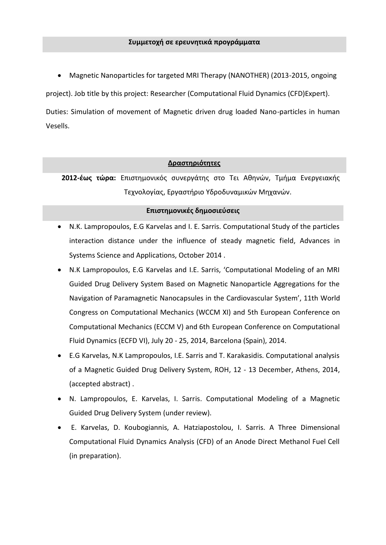Magnetic Nanoparticles for targeted MRI Therapy (NANOTHER) (2013-2015, ongoing

project). Job title by this project: Researcher (Computational Fluid Dynamics (CFD)Expert).

Duties: Simulation of movement of Magnetic driven drug loaded Nano-particles in human Vesells.

#### **Δραστηριότητες**

**2012-έως τώρα:** Επιστημονικός συνεργάτης στο Τει Αθηνών, Τμήμα Ενεργειακής Τεχνολογίας, Εργαστήριο Υδροδυναμικών Μηχανών.

#### **Επιστημονικές δημοσιεύσεις**

- N.K. Lampropoulos, E.G Karvelas and I. E. Sarris. Computational Study of the particles interaction distance under the influence of steady magnetic field, Advances in Systems Science and Applications, October 2014 .
- N.K Lampropoulos, E.G Karvelas and I.E. Sarris, 'Computational Modeling of an MRI Guided Drug Delivery System Based on Magnetic Nanoparticle Aggregations for the Navigation of Paramagnetic Nanocapsules in the Cardiovascular System', 11th World Congress on Computational Mechanics (WCCM XI) and 5th European Conference on Computational Mechanics (ECCM V) and 6th European Conference on Computational Fluid Dynamics (ECFD VI), July 20 - 25, 2014, Barcelona (Spain), 2014.
- E.G Karvelas, N.K Lampropoulos, I.E. Sarris and T. Karakasidis. Computational analysis of a Magnetic Guided Drug Delivery System, ROH, 12 - 13 December, Athens, 2014, (accepted abstract) .
- N. Lampropoulos, E. Karvelas, I. Sarris. Computational Modeling of a Magnetic Guided Drug Delivery System (under review).
- Ε. Karvelas, D. Koubogiannis, A. Hatziapostolou, I. Sarris. A Three Dimensional Computational Fluid Dynamics Analysis (CFD) of an Anode Direct Methanol Fuel Cell (in preparation).